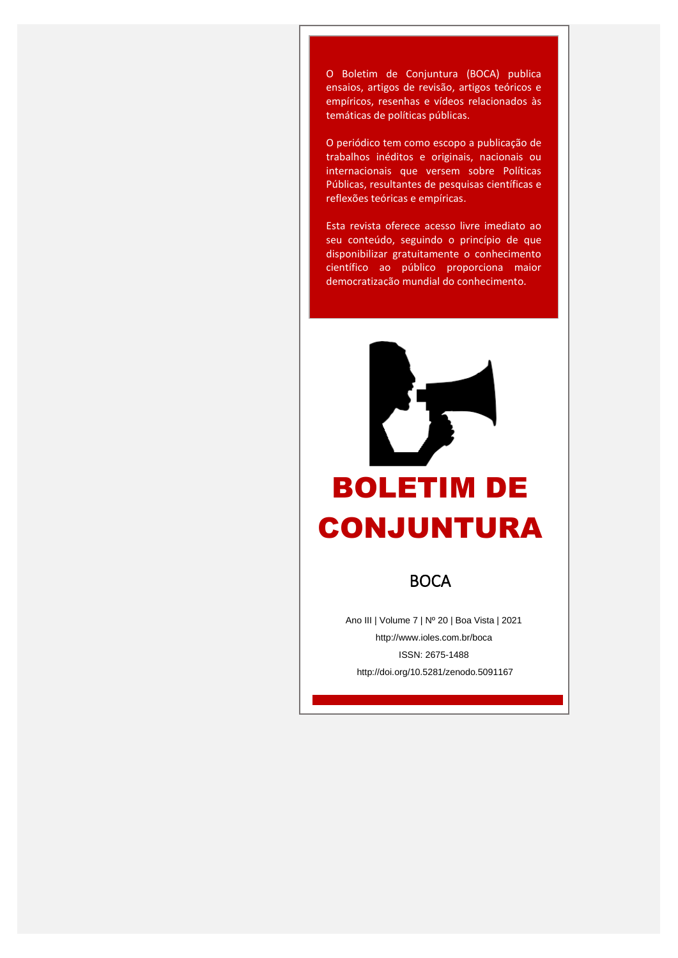**La Empíricos, resenhas e vídeos relacionados às** O Boletim de Conjuntura (BOCA) publica ensaios, artigos de revisão, artigos teóricos e temáticas de políticas públicas.

> O periódico tem como escopo a publicação de trabalhos inéditos e originais, nacionais ou internacionais que versem sobre Políticas Públicas, resultantes de pesquisas científicas e reflexões teóricas e empíricas.

> Esta revista oferece acesso livre imediato ao seu conteúdo, seguindo o princípio de que disponibilizar gratuitamente o conhecimento científico ao público proporciona maior democratização mundial do conhecimento.



# BOLETIM DE CONJUNTURA

**BOCA** 

Ano III | Volume 7 | Nº 20 | Boa Vista | 2021 http://www.ioles.com.br/boca ISSN: 2675-1488 http://doi.org/10.5281/zenodo.5091167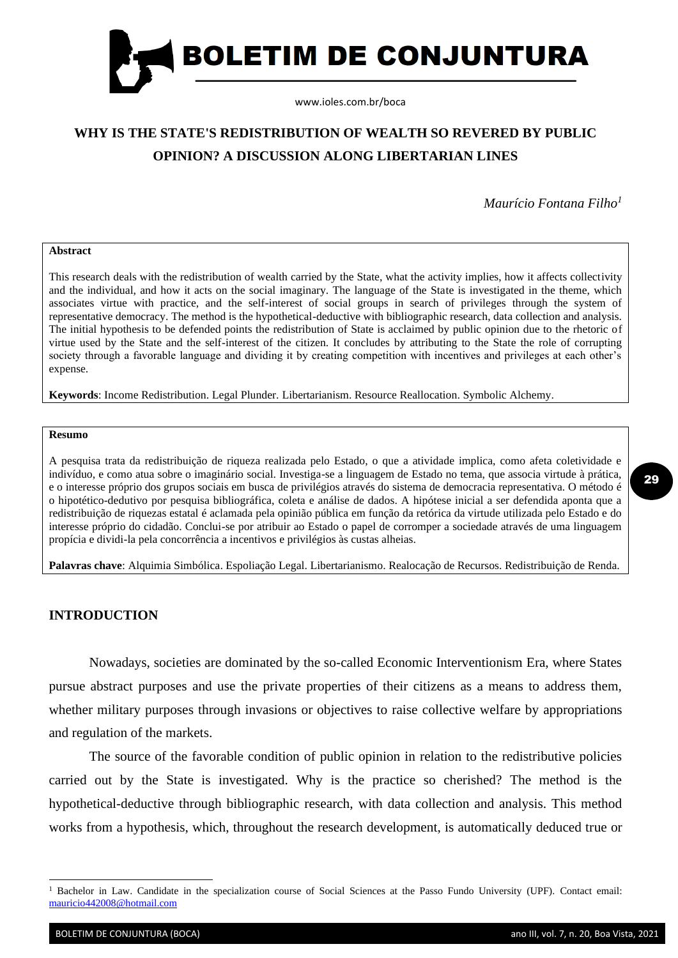

## **WHY IS THE STATE'S REDISTRIBUTION OF WEALTH SO REVERED BY PUBLIC OPINION? A DISCUSSION ALONG LIBERTARIAN LINES**

*Maurício Fontana Filho<sup>1</sup>*

#### **Abstract**

This research deals with the redistribution of wealth carried by the State, what the activity implies, how it affects collectivity and the individual, and how it acts on the social imaginary. The language of the State is investigated in the theme, which associates virtue with practice, and the self-interest of social groups in search of privileges through the system of representative democracy. The method is the hypothetical-deductive with bibliographic research, data collection and analysis. The initial hypothesis to be defended points the redistribution of State is acclaimed by public opinion due to the rhetoric of virtue used by the State and the self-interest of the citizen. It concludes by attributing to the State the role of corrupting society through a favorable language and dividing it by creating competition with incentives and privileges at each other's expense.

**Keywords**: Income Redistribution. Legal Plunder. Libertarianism. Resource Reallocation. Symbolic Alchemy.

#### **Resumo**

A pesquisa trata da redistribuição de riqueza realizada pelo Estado, o que a atividade implica, como afeta coletividade e indivíduo, e como atua sobre o imaginário social. Investiga-se a linguagem de Estado no tema, que associa virtude à prática, e o interesse próprio dos grupos sociais em busca de privilégios através do sistema de democracia representativa. O método é o hipotético-dedutivo por pesquisa bibliográfica, coleta e análise de dados. A hipótese inicial a ser defendida aponta que a redistribuição de riquezas estatal é aclamada pela opinião pública em função da retórica da virtude utilizada pelo Estado e do interesse próprio do cidadão. Conclui-se por atribuir ao Estado o papel de corromper a sociedade através de uma linguagem propícia e dividi-la pela concorrência a incentivos e privilégios às custas alheias.

**Palavras chave**: Alquimia Simbólica. Espoliação Legal. Libertarianismo. Realocação de Recursos. Redistribuição de Renda.

### **INTRODUCTION**

Nowadays, societies are dominated by the so-called Economic Interventionism Era, where States pursue abstract purposes and use the private properties of their citizens as a means to address them, whether military purposes through invasions or objectives to raise collective welfare by appropriations and regulation of the markets.

The source of the favorable condition of public opinion in relation to the redistributive policies carried out by the State is investigated. Why is the practice so cherished? The method is the hypothetical-deductive through bibliographic research, with data collection and analysis. This method works from a hypothesis, which, throughout the research development, is automatically deduced true or

29

<sup>1</sup> Bachelor in Law. Candidate in the specialization course of Social Sciences at the Passo Fundo University (UPF). Contact email: [mauricio442008@hotmail.com](mailto:mauricio442008@hotmail.com)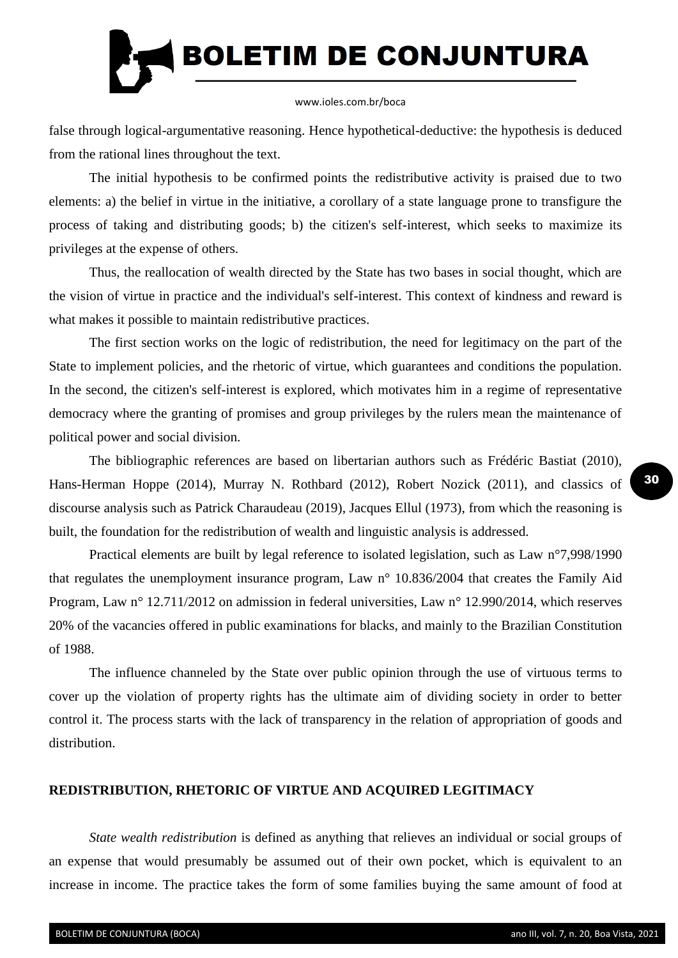

false through logical-argumentative reasoning. Hence hypothetical-deductive: the hypothesis is deduced from the rational lines throughout the text.

The initial hypothesis to be confirmed points the redistributive activity is praised due to two elements: a) the belief in virtue in the initiative, a corollary of a state language prone to transfigure the process of taking and distributing goods; b) the citizen's self-interest, which seeks to maximize its privileges at the expense of others.

Thus, the reallocation of wealth directed by the State has two bases in social thought, which are the vision of virtue in practice and the individual's self-interest. This context of kindness and reward is what makes it possible to maintain redistributive practices.

The first section works on the logic of redistribution, the need for legitimacy on the part of the State to implement policies, and the rhetoric of virtue, which guarantees and conditions the population. In the second, the citizen's self-interest is explored, which motivates him in a regime of representative democracy where the granting of promises and group privileges by the rulers mean the maintenance of political power and social division.

The bibliographic references are based on libertarian authors such as Frédéric Bastiat (2010), Hans-Herman Hoppe (2014), Murray N. Rothbard (2012), Robert Nozick (2011), and classics of discourse analysis such as Patrick Charaudeau (2019), Jacques Ellul (1973), from which the reasoning is built, the foundation for the redistribution of wealth and linguistic analysis is addressed.

Practical elements are built by legal reference to isolated legislation, such as Law n°7,998/1990 that regulates the unemployment insurance program, Law n° 10.836/2004 that creates the Family Aid Program, Law n° 12.711/2012 on admission in federal universities, Law n° 12.990/2014, which reserves 20% of the vacancies offered in public examinations for blacks, and mainly to the Brazilian Constitution of 1988.

The influence channeled by the State over public opinion through the use of virtuous terms to cover up the violation of property rights has the ultimate aim of dividing society in order to better control it. The process starts with the lack of transparency in the relation of appropriation of goods and distribution.

## **REDISTRIBUTION, RHETORIC OF VIRTUE AND ACQUIRED LEGITIMACY**

*State wealth redistribution* is defined as anything that relieves an individual or social groups of an expense that would presumably be assumed out of their own pocket, which is equivalent to an increase in income. The practice takes the form of some families buying the same amount of food at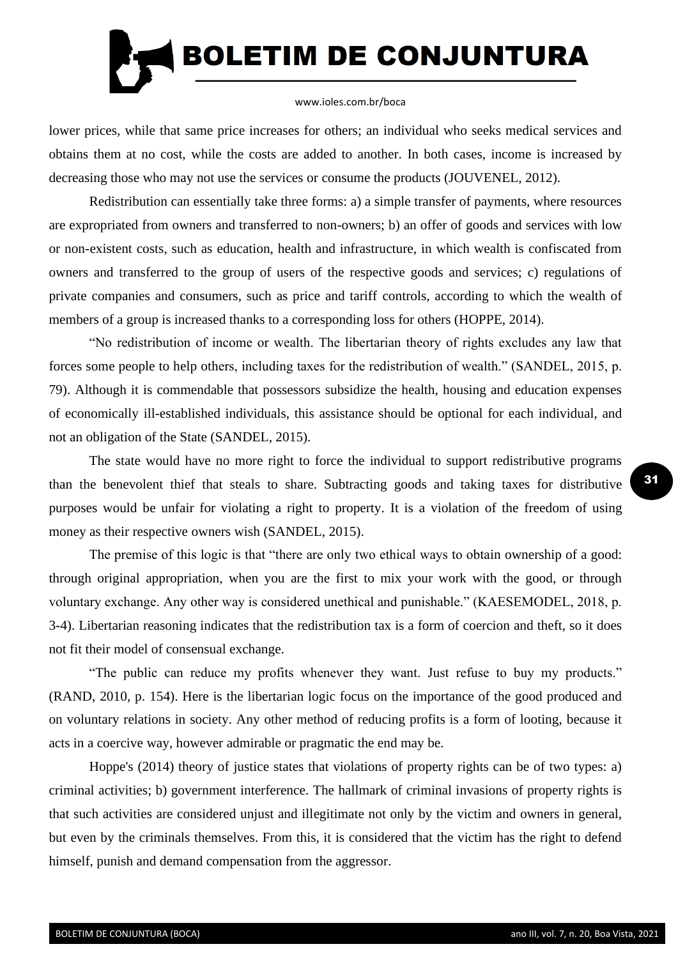

lower prices, while that same price increases for others; an individual who seeks medical services and obtains them at no cost, while the costs are added to another. In both cases, income is increased by decreasing those who may not use the services or consume the products (JOUVENEL, 2012).

Redistribution can essentially take three forms: a) a simple transfer of payments, where resources are expropriated from owners and transferred to non-owners; b) an offer of goods and services with low or non-existent costs, such as education, health and infrastructure, in which wealth is confiscated from owners and transferred to the group of users of the respective goods and services; c) regulations of private companies and consumers, such as price and tariff controls, according to which the wealth of members of a group is increased thanks to a corresponding loss for others (HOPPE, 2014).

"No redistribution of income or wealth. The libertarian theory of rights excludes any law that forces some people to help others, including taxes for the redistribution of wealth." (SANDEL, 2015, p. 79). Although it is commendable that possessors subsidize the health, housing and education expenses of economically ill-established individuals, this assistance should be optional for each individual, and not an obligation of the State (SANDEL, 2015).

The state would have no more right to force the individual to support redistributive programs than the benevolent thief that steals to share. Subtracting goods and taking taxes for distributive purposes would be unfair for violating a right to property. It is a violation of the freedom of using money as their respective owners wish (SANDEL, 2015).

The premise of this logic is that "there are only two ethical ways to obtain ownership of a good: through original appropriation, when you are the first to mix your work with the good, or through voluntary exchange. Any other way is considered unethical and punishable." (KAESEMODEL, 2018, p. 3-4). Libertarian reasoning indicates that the redistribution tax is a form of coercion and theft, so it does not fit their model of consensual exchange.

"The public can reduce my profits whenever they want. Just refuse to buy my products." (RAND, 2010, p. 154). Here is the libertarian logic focus on the importance of the good produced and on voluntary relations in society. Any other method of reducing profits is a form of looting, because it acts in a coercive way, however admirable or pragmatic the end may be.

Hoppe's (2014) theory of justice states that violations of property rights can be of two types: a) criminal activities; b) government interference. The hallmark of criminal invasions of property rights is that such activities are considered unjust and illegitimate not only by the victim and owners in general, but even by the criminals themselves. From this, it is considered that the victim has the right to defend himself, punish and demand compensation from the aggressor.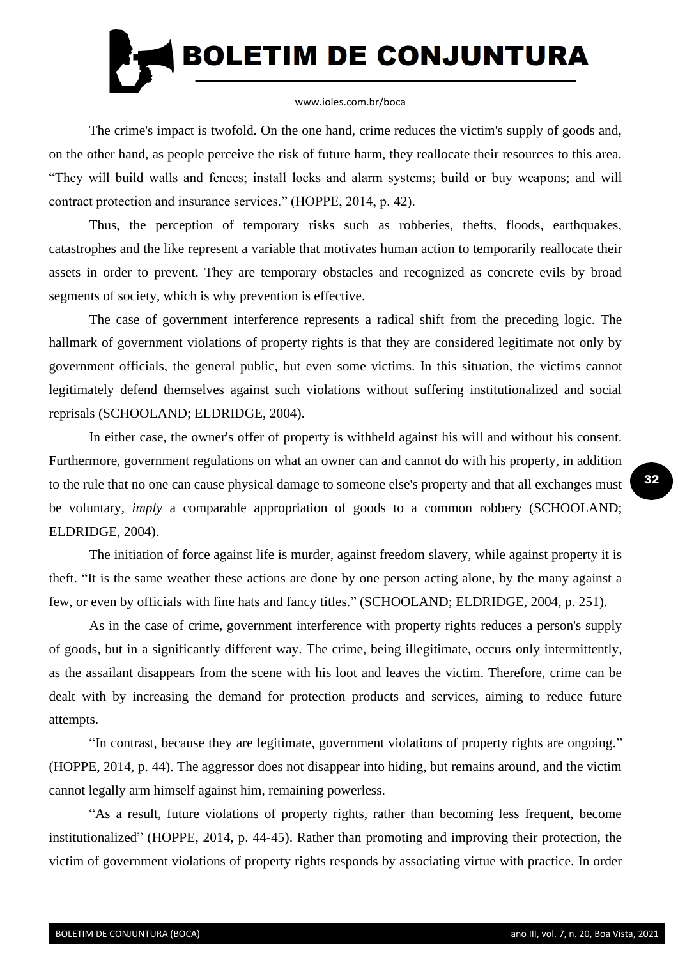

The crime's impact is twofold. On the one hand, crime reduces the victim's supply of goods and, on the other hand, as people perceive the risk of future harm, they reallocate their resources to this area. "They will build walls and fences; install locks and alarm systems; build or buy weapons; and will contract protection and insurance services." (HOPPE, 2014, p. 42).

Thus, the perception of temporary risks such as robberies, thefts, floods, earthquakes, catastrophes and the like represent a variable that motivates human action to temporarily reallocate their assets in order to prevent. They are temporary obstacles and recognized as concrete evils by broad segments of society, which is why prevention is effective.

The case of government interference represents a radical shift from the preceding logic. The hallmark of government violations of property rights is that they are considered legitimate not only by government officials, the general public, but even some victims. In this situation, the victims cannot legitimately defend themselves against such violations without suffering institutionalized and social reprisals (SCHOOLAND; ELDRIDGE, 2004).

In either case, the owner's offer of property is withheld against his will and without his consent. Furthermore, government regulations on what an owner can and cannot do with his property, in addition to the rule that no one can cause physical damage to someone else's property and that all exchanges must be voluntary, *imply* a comparable appropriation of goods to a common robbery (SCHOOLAND; ELDRIDGE, 2004).

The initiation of force against life is murder, against freedom slavery, while against property it is theft. "It is the same weather these actions are done by one person acting alone, by the many against a few, or even by officials with fine hats and fancy titles." (SCHOOLAND; ELDRIDGE, 2004, p. 251).

As in the case of crime, government interference with property rights reduces a person's supply of goods, but in a significantly different way. The crime, being illegitimate, occurs only intermittently, as the assailant disappears from the scene with his loot and leaves the victim. Therefore, crime can be dealt with by increasing the demand for protection products and services, aiming to reduce future attempts.

"In contrast, because they are legitimate, government violations of property rights are ongoing." (HOPPE, 2014, p. 44). The aggressor does not disappear into hiding, but remains around, and the victim cannot legally arm himself against him, remaining powerless.

"As a result, future violations of property rights, rather than becoming less frequent, become institutionalized" (HOPPE, 2014, p. 44-45). Rather than promoting and improving their protection, the victim of government violations of property rights responds by associating virtue with practice. In order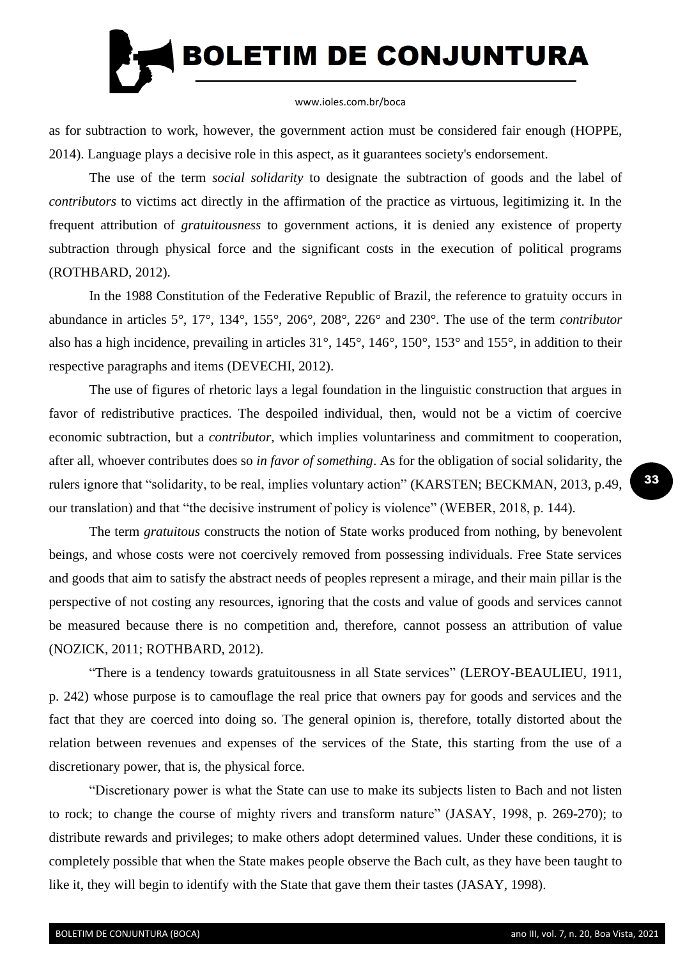

as for subtraction to work, however, the government action must be considered fair enough (HOPPE, 2014). Language plays a decisive role in this aspect, as it guarantees society's endorsement.

The use of the term *social solidarity* to designate the subtraction of goods and the label of *contributors* to victims act directly in the affirmation of the practice as virtuous, legitimizing it. In the frequent attribution of *gratuitousness* to government actions, it is denied any existence of property subtraction through physical force and the significant costs in the execution of political programs (ROTHBARD, 2012).

In the 1988 Constitution of the Federative Republic of Brazil, the reference to gratuity occurs in abundance in articles 5°, 17°, 134°, 155°, 206°, 208°, 226° and 230°. The use of the term *contributor*  also has a high incidence, prevailing in articles 31°, 145°, 146°, 150°, 153° and 155°, in addition to their respective paragraphs and items (DEVECHI, 2012).

The use of figures of rhetoric lays a legal foundation in the linguistic construction that argues in favor of redistributive practices. The despoiled individual, then, would not be a victim of coercive economic subtraction, but a *contributor*, which implies voluntariness and commitment to cooperation, after all, whoever contributes does so *in favor of something*. As for the obligation of social solidarity, the rulers ignore that "solidarity, to be real, implies voluntary action" (KARSTEN; BECKMAN, 2013, p.49, our translation) and that "the decisive instrument of policy is violence" (WEBER, 2018, p. 144).

The term *gratuitous* constructs the notion of State works produced from nothing, by benevolent beings, and whose costs were not coercively removed from possessing individuals. Free State services and goods that aim to satisfy the abstract needs of peoples represent a mirage, and their main pillar is the perspective of not costing any resources, ignoring that the costs and value of goods and services cannot be measured because there is no competition and, therefore, cannot possess an attribution of value (NOZICK, 2011; ROTHBARD, 2012).

"There is a tendency towards gratuitousness in all State services" (LEROY-BEAULIEU, 1911, p. 242) whose purpose is to camouflage the real price that owners pay for goods and services and the fact that they are coerced into doing so. The general opinion is, therefore, totally distorted about the relation between revenues and expenses of the services of the State, this starting from the use of a discretionary power, that is, the physical force.

"Discretionary power is what the State can use to make its subjects listen to Bach and not listen to rock; to change the course of mighty rivers and transform nature" (JASAY, 1998, p. 269-270); to distribute rewards and privileges; to make others adopt determined values. Under these conditions, it is completely possible that when the State makes people observe the Bach cult, as they have been taught to like it, they will begin to identify with the State that gave them their tastes (JASAY, 1998).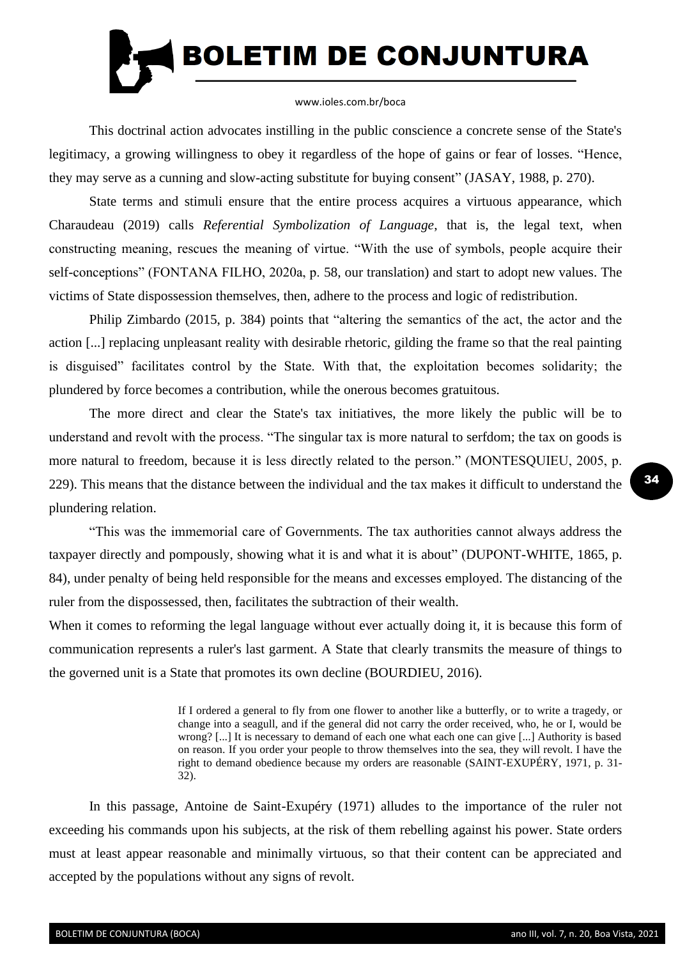

This doctrinal action advocates instilling in the public conscience a concrete sense of the State's legitimacy, a growing willingness to obey it regardless of the hope of gains or fear of losses. "Hence, they may serve as a cunning and slow-acting substitute for buying consent" (JASAY, 1988, p. 270).

State terms and stimuli ensure that the entire process acquires a virtuous appearance, which Charaudeau (2019) calls *Referential Symbolization of Language*, that is, the legal text, when constructing meaning, rescues the meaning of virtue. "With the use of symbols, people acquire their self-conceptions" (FONTANA FILHO, 2020a, p. 58, our translation) and start to adopt new values. The victims of State dispossession themselves, then, adhere to the process and logic of redistribution.

Philip Zimbardo (2015, p. 384) points that "altering the semantics of the act, the actor and the action [...] replacing unpleasant reality with desirable rhetoric, gilding the frame so that the real painting is disguised" facilitates control by the State. With that, the exploitation becomes solidarity; the plundered by force becomes a contribution, while the onerous becomes gratuitous.

The more direct and clear the State's tax initiatives, the more likely the public will be to understand and revolt with the process. "The singular tax is more natural to serfdom; the tax on goods is more natural to freedom, because it is less directly related to the person." (MONTESQUIEU, 2005, p. 229). This means that the distance between the individual and the tax makes it difficult to understand the plundering relation.

"This was the immemorial care of Governments. The tax authorities cannot always address the taxpayer directly and pompously, showing what it is and what it is about" (DUPONT-WHITE, 1865, p. 84), under penalty of being held responsible for the means and excesses employed. The distancing of the ruler from the dispossessed, then, facilitates the subtraction of their wealth.

When it comes to reforming the legal language without ever actually doing it, it is because this form of communication represents a ruler's last garment. A State that clearly transmits the measure of things to the governed unit is a State that promotes its own decline (BOURDIEU, 2016).

> If I ordered a general to fly from one flower to another like a butterfly, or to write a tragedy, or change into a seagull, and if the general did not carry the order received, who, he or I, would be wrong? [...] It is necessary to demand of each one what each one can give [...] Authority is based on reason. If you order your people to throw themselves into the sea, they will revolt. I have the right to demand obedience because my orders are reasonable (SAINT-EXUPÉRY, 1971, p. 31- 32).

In this passage, Antoine de Saint-Exupéry (1971) alludes to the importance of the ruler not exceeding his commands upon his subjects, at the risk of them rebelling against his power. State orders must at least appear reasonable and minimally virtuous, so that their content can be appreciated and accepted by the populations without any signs of revolt.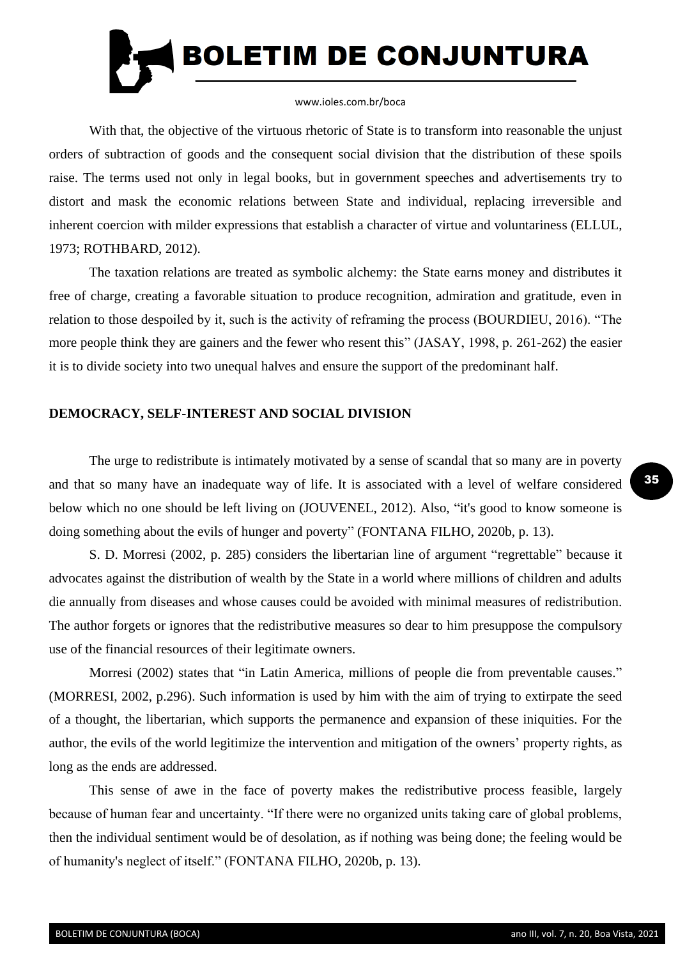

With that, the objective of the virtuous rhetoric of State is to transform into reasonable the unjust orders of subtraction of goods and the consequent social division that the distribution of these spoils raise. The terms used not only in legal books, but in government speeches and advertisements try to distort and mask the economic relations between State and individual, replacing irreversible and inherent coercion with milder expressions that establish a character of virtue and voluntariness (ELLUL, 1973; ROTHBARD, 2012).

The taxation relations are treated as symbolic alchemy: the State earns money and distributes it free of charge, creating a favorable situation to produce recognition, admiration and gratitude, even in relation to those despoiled by it, such is the activity of reframing the process (BOURDIEU, 2016). "The more people think they are gainers and the fewer who resent this" (JASAY, 1998, p. 261-262) the easier it is to divide society into two unequal halves and ensure the support of the predominant half.

## **DEMOCRACY, SELF-INTEREST AND SOCIAL DIVISION**

The urge to redistribute is intimately motivated by a sense of scandal that so many are in poverty and that so many have an inadequate way of life. It is associated with a level of welfare considered below which no one should be left living on (JOUVENEL, 2012). Also, "it's good to know someone is doing something about the evils of hunger and poverty" (FONTANA FILHO, 2020b, p. 13).

S. D. Morresi (2002, p. 285) considers the libertarian line of argument "regrettable" because it advocates against the distribution of wealth by the State in a world where millions of children and adults die annually from diseases and whose causes could be avoided with minimal measures of redistribution. The author forgets or ignores that the redistributive measures so dear to him presuppose the compulsory use of the financial resources of their legitimate owners.

Morresi (2002) states that "in Latin America, millions of people die from preventable causes." (MORRESI, 2002, p.296). Such information is used by him with the aim of trying to extirpate the seed of a thought, the libertarian, which supports the permanence and expansion of these iniquities. For the author, the evils of the world legitimize the intervention and mitigation of the owners' property rights, as long as the ends are addressed.

This sense of awe in the face of poverty makes the redistributive process feasible, largely because of human fear and uncertainty. "If there were no organized units taking care of global problems, then the individual sentiment would be of desolation, as if nothing was being done; the feeling would be of humanity's neglect of itself." (FONTANA FILHO, 2020b, p. 13).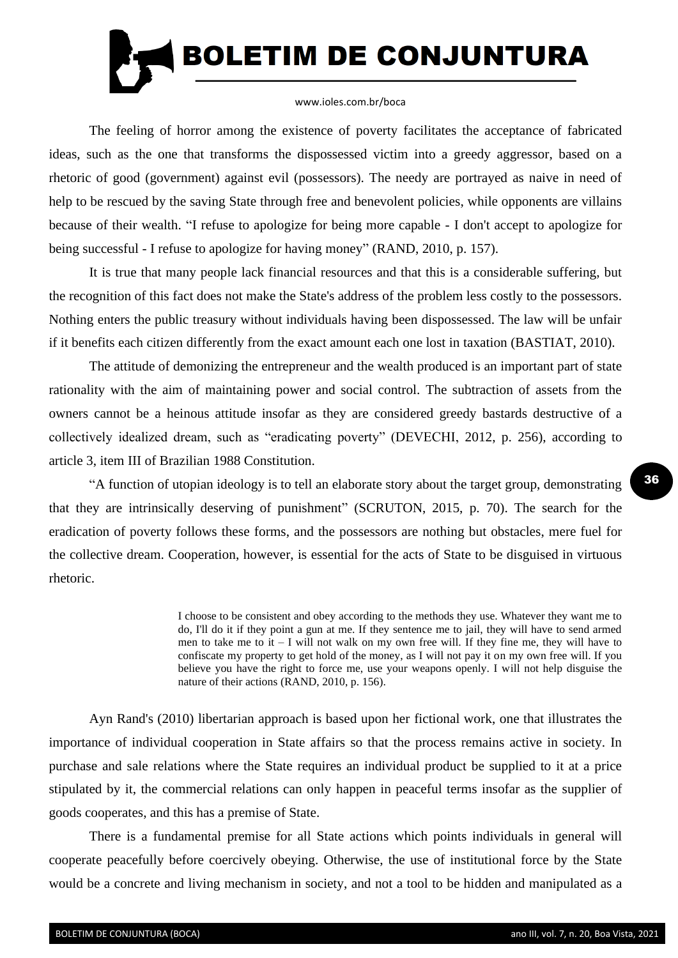

The feeling of horror among the existence of poverty facilitates the acceptance of fabricated ideas, such as the one that transforms the dispossessed victim into a greedy aggressor, based on a rhetoric of good (government) against evil (possessors). The needy are portrayed as naive in need of help to be rescued by the saving State through free and benevolent policies, while opponents are villains because of their wealth. "I refuse to apologize for being more capable - I don't accept to apologize for being successful - I refuse to apologize for having money" (RAND, 2010, p. 157).

It is true that many people lack financial resources and that this is a considerable suffering, but the recognition of this fact does not make the State's address of the problem less costly to the possessors. Nothing enters the public treasury without individuals having been dispossessed. The law will be unfair if it benefits each citizen differently from the exact amount each one lost in taxation (BASTIAT, 2010).

The attitude of demonizing the entrepreneur and the wealth produced is an important part of state rationality with the aim of maintaining power and social control. The subtraction of assets from the owners cannot be a heinous attitude insofar as they are considered greedy bastards destructive of a collectively idealized dream, such as "eradicating poverty" (DEVECHI, 2012, p. 256), according to article 3, item III of Brazilian 1988 Constitution.

"A function of utopian ideology is to tell an elaborate story about the target group, demonstrating that they are intrinsically deserving of punishment" (SCRUTON, 2015, p. 70). The search for the eradication of poverty follows these forms, and the possessors are nothing but obstacles, mere fuel for the collective dream. Cooperation, however, is essential for the acts of State to be disguised in virtuous rhetoric.

> I choose to be consistent and obey according to the methods they use. Whatever they want me to do, I'll do it if they point a gun at me. If they sentence me to jail, they will have to send armed men to take me to  $it - I$  will not walk on my own free will. If they fine me, they will have to confiscate my property to get hold of the money, as I will not pay it on my own free will. If you believe you have the right to force me, use your weapons openly. I will not help disguise the nature of their actions (RAND, 2010, p. 156).

Ayn Rand's (2010) libertarian approach is based upon her fictional work, one that illustrates the importance of individual cooperation in State affairs so that the process remains active in society. In purchase and sale relations where the State requires an individual product be supplied to it at a price stipulated by it, the commercial relations can only happen in peaceful terms insofar as the supplier of goods cooperates, and this has a premise of State.

There is a fundamental premise for all State actions which points individuals in general will cooperate peacefully before coercively obeying. Otherwise, the use of institutional force by the State would be a concrete and living mechanism in society, and not a tool to be hidden and manipulated as a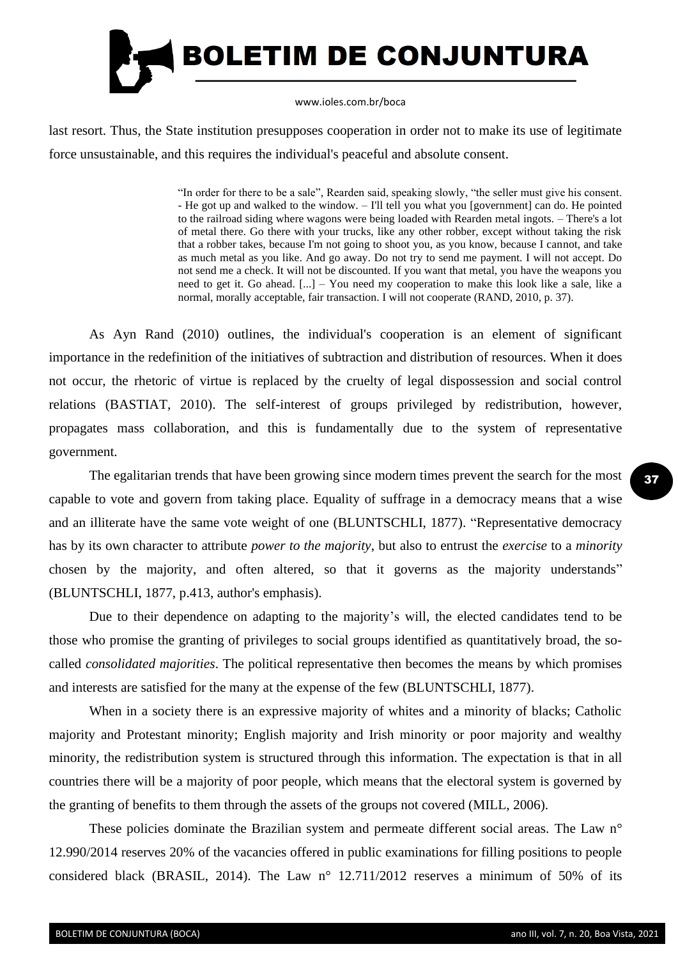

last resort. Thus, the State institution presupposes cooperation in order not to make its use of legitimate force unsustainable, and this requires the individual's peaceful and absolute consent.

> "In order for there to be a sale", Rearden said, speaking slowly, "the seller must give his consent. - He got up and walked to the window. – I'll tell you what you [government] can do. He pointed to the railroad siding where wagons were being loaded with Rearden metal ingots. – There's a lot of metal there. Go there with your trucks, like any other robber, except without taking the risk that a robber takes, because I'm not going to shoot you, as you know, because I cannot, and take as much metal as you like. And go away. Do not try to send me payment. I will not accept. Do not send me a check. It will not be discounted. If you want that metal, you have the weapons you need to get it. Go ahead. [...] – You need my cooperation to make this look like a sale, like a normal, morally acceptable, fair transaction. I will not cooperate (RAND, 2010, p. 37).

As Ayn Rand (2010) outlines, the individual's cooperation is an element of significant importance in the redefinition of the initiatives of subtraction and distribution of resources. When it does not occur, the rhetoric of virtue is replaced by the cruelty of legal dispossession and social control relations (BASTIAT, 2010). The self-interest of groups privileged by redistribution, however, propagates mass collaboration, and this is fundamentally due to the system of representative government.

The egalitarian trends that have been growing since modern times prevent the search for the most capable to vote and govern from taking place. Equality of suffrage in a democracy means that a wise and an illiterate have the same vote weight of one (BLUNTSCHLI, 1877). "Representative democracy has by its own character to attribute *power to the majority*, but also to entrust the *exercise* to a *minority* chosen by the majority, and often altered, so that it governs as the majority understands" (BLUNTSCHLI, 1877, p.413, author's emphasis).

Due to their dependence on adapting to the majority's will, the elected candidates tend to be those who promise the granting of privileges to social groups identified as quantitatively broad, the socalled *consolidated majorities*. The political representative then becomes the means by which promises and interests are satisfied for the many at the expense of the few (BLUNTSCHLI, 1877).

When in a society there is an expressive majority of whites and a minority of blacks; Catholic majority and Protestant minority; English majority and Irish minority or poor majority and wealthy minority, the redistribution system is structured through this information. The expectation is that in all countries there will be a majority of poor people, which means that the electoral system is governed by the granting of benefits to them through the assets of the groups not covered (MILL, 2006).

These policies dominate the Brazilian system and permeate different social areas. The Law n<sup>o</sup> 12.990/2014 reserves 20% of the vacancies offered in public examinations for filling positions to people considered black (BRASIL, 2014). The Law n° 12.711/2012 reserves a minimum of 50% of its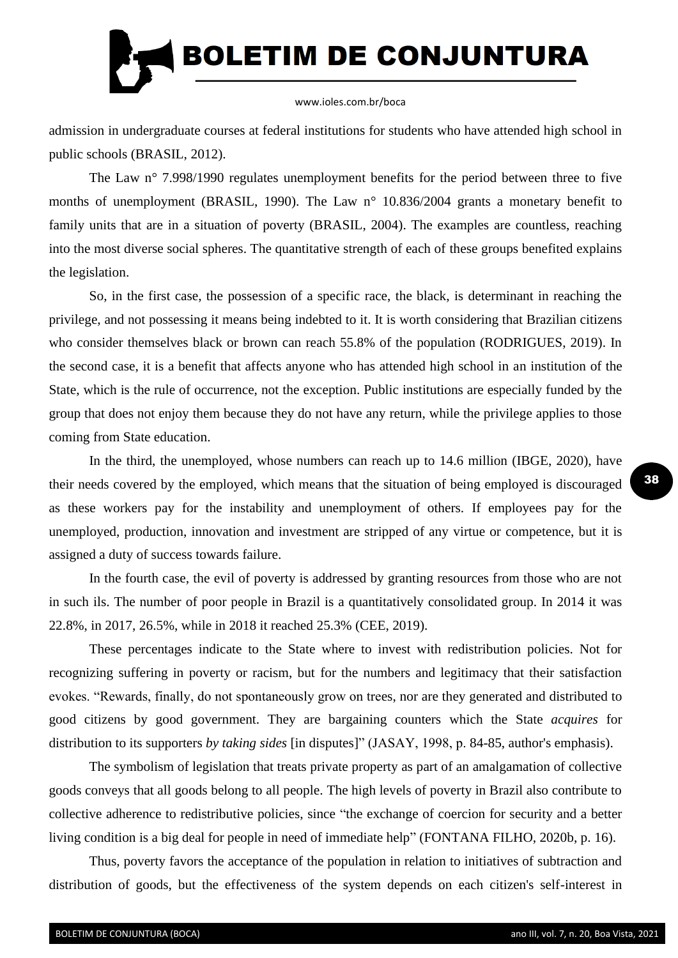

admission in undergraduate courses at federal institutions for students who have attended high school in public schools (BRASIL, 2012).

The Law n° 7.998/1990 regulates unemployment benefits for the period between three to five months of unemployment (BRASIL, 1990). The Law n° 10.836/2004 grants a monetary benefit to family units that are in a situation of poverty (BRASIL, 2004). The examples are countless, reaching into the most diverse social spheres. The quantitative strength of each of these groups benefited explains the legislation.

So, in the first case, the possession of a specific race, the black, is determinant in reaching the privilege, and not possessing it means being indebted to it. It is worth considering that Brazilian citizens who consider themselves black or brown can reach 55.8% of the population (RODRIGUES, 2019). In the second case, it is a benefit that affects anyone who has attended high school in an institution of the State, which is the rule of occurrence, not the exception. Public institutions are especially funded by the group that does not enjoy them because they do not have any return, while the privilege applies to those coming from State education.

In the third, the unemployed, whose numbers can reach up to 14.6 million (IBGE, 2020), have their needs covered by the employed, which means that the situation of being employed is discouraged as these workers pay for the instability and unemployment of others. If employees pay for the unemployed, production, innovation and investment are stripped of any virtue or competence, but it is assigned a duty of success towards failure.

In the fourth case, the evil of poverty is addressed by granting resources from those who are not in such ils. The number of poor people in Brazil is a quantitatively consolidated group. In 2014 it was 22.8%, in 2017, 26.5%, while in 2018 it reached 25.3% (CEE, 2019).

These percentages indicate to the State where to invest with redistribution policies. Not for recognizing suffering in poverty or racism, but for the numbers and legitimacy that their satisfaction evokes. "Rewards, finally, do not spontaneously grow on trees, nor are they generated and distributed to good citizens by good government. They are bargaining counters which the State *acquires* for distribution to its supporters *by taking sides* [in disputes]" (JASAY, 1998, p. 84-85, author's emphasis).

The symbolism of legislation that treats private property as part of an amalgamation of collective goods conveys that all goods belong to all people. The high levels of poverty in Brazil also contribute to collective adherence to redistributive policies, since "the exchange of coercion for security and a better living condition is a big deal for people in need of immediate help" (FONTANA FILHO, 2020b, p. 16).

Thus, poverty favors the acceptance of the population in relation to initiatives of subtraction and distribution of goods, but the effectiveness of the system depends on each citizen's self-interest in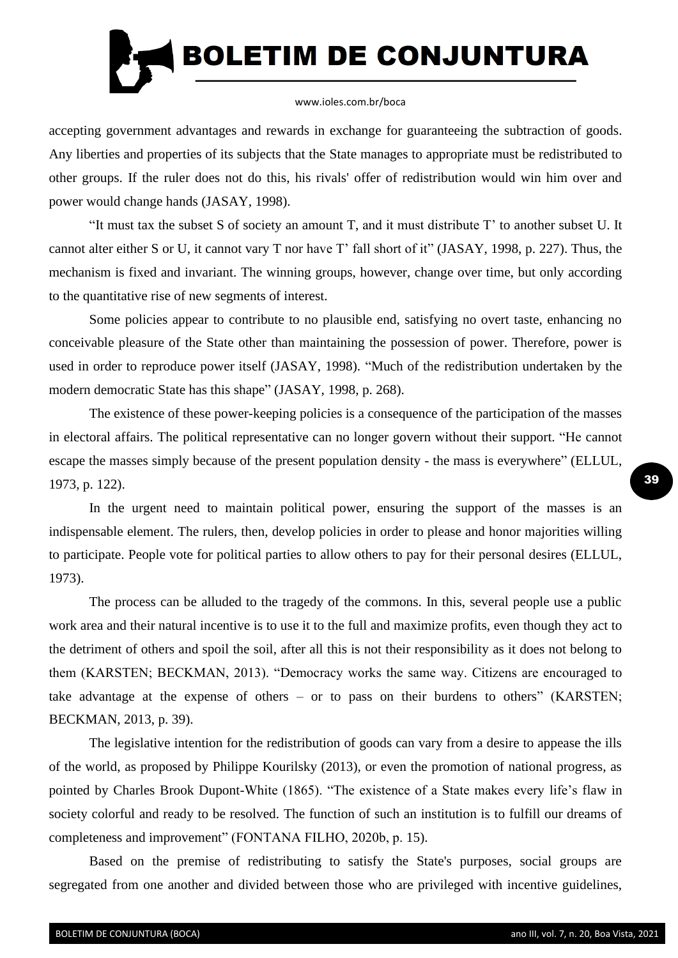

accepting government advantages and rewards in exchange for guaranteeing the subtraction of goods. Any liberties and properties of its subjects that the State manages to appropriate must be redistributed to other groups. If the ruler does not do this, his rivals' offer of redistribution would win him over and power would change hands (JASAY, 1998).

"It must tax the subset S of society an amount T, and it must distribute T' to another subset U. It cannot alter either S or U, it cannot vary T nor have T' fall short of it" (JASAY, 1998, p. 227). Thus, the mechanism is fixed and invariant. The winning groups, however, change over time, but only according to the quantitative rise of new segments of interest.

Some policies appear to contribute to no plausible end, satisfying no overt taste, enhancing no conceivable pleasure of the State other than maintaining the possession of power. Therefore, power is used in order to reproduce power itself (JASAY, 1998). "Much of the redistribution undertaken by the modern democratic State has this shape" (JASAY, 1998, p. 268).

The existence of these power-keeping policies is a consequence of the participation of the masses in electoral affairs. The political representative can no longer govern without their support. "He cannot escape the masses simply because of the present population density - the mass is everywhere" (ELLUL, 1973, p. 122).

In the urgent need to maintain political power, ensuring the support of the masses is an indispensable element. The rulers, then, develop policies in order to please and honor majorities willing to participate. People vote for political parties to allow others to pay for their personal desires (ELLUL, 1973).

The process can be alluded to the tragedy of the commons. In this, several people use a public work area and their natural incentive is to use it to the full and maximize profits, even though they act to the detriment of others and spoil the soil, after all this is not their responsibility as it does not belong to them (KARSTEN; BECKMAN, 2013). "Democracy works the same way. Citizens are encouraged to take advantage at the expense of others – or to pass on their burdens to others" (KARSTEN; BECKMAN, 2013, p. 39).

The legislative intention for the redistribution of goods can vary from a desire to appease the ills of the world, as proposed by Philippe Kourilsky (2013), or even the promotion of national progress, as pointed by Charles Brook Dupont-White (1865). "The existence of a State makes every life's flaw in society colorful and ready to be resolved. The function of such an institution is to fulfill our dreams of completeness and improvement" (FONTANA FILHO, 2020b, p. 15).

Based on the premise of redistributing to satisfy the State's purposes, social groups are segregated from one another and divided between those who are privileged with incentive guidelines,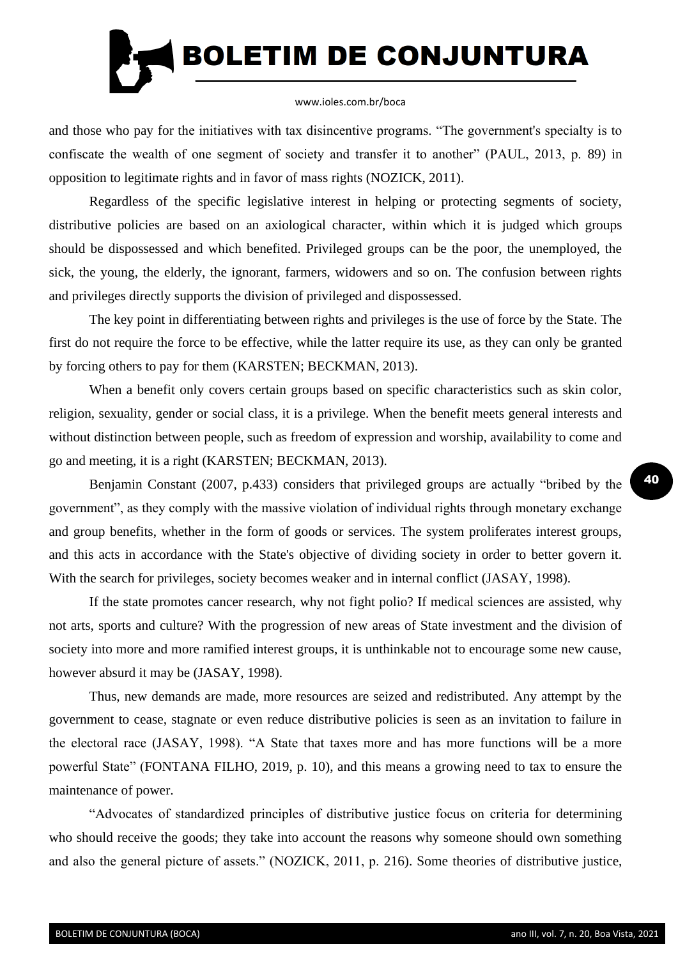

and those who pay for the initiatives with tax disincentive programs. "The government's specialty is to confiscate the wealth of one segment of society and transfer it to another" (PAUL, 2013, p. 89) in opposition to legitimate rights and in favor of mass rights (NOZICK, 2011).

Regardless of the specific legislative interest in helping or protecting segments of society, distributive policies are based on an axiological character, within which it is judged which groups should be dispossessed and which benefited. Privileged groups can be the poor, the unemployed, the sick, the young, the elderly, the ignorant, farmers, widowers and so on. The confusion between rights and privileges directly supports the division of privileged and dispossessed.

The key point in differentiating between rights and privileges is the use of force by the State. The first do not require the force to be effective, while the latter require its use, as they can only be granted by forcing others to pay for them (KARSTEN; BECKMAN, 2013).

When a benefit only covers certain groups based on specific characteristics such as skin color, religion, sexuality, gender or social class, it is a privilege. When the benefit meets general interests and without distinction between people, such as freedom of expression and worship, availability to come and go and meeting, it is a right (KARSTEN; BECKMAN, 2013).

Benjamin Constant (2007, p.433) considers that privileged groups are actually "bribed by the government", as they comply with the massive violation of individual rights through monetary exchange and group benefits, whether in the form of goods or services. The system proliferates interest groups, and this acts in accordance with the State's objective of dividing society in order to better govern it. With the search for privileges, society becomes weaker and in internal conflict (JASAY, 1998).

If the state promotes cancer research, why not fight polio? If medical sciences are assisted, why not arts, sports and culture? With the progression of new areas of State investment and the division of society into more and more ramified interest groups, it is unthinkable not to encourage some new cause, however absurd it may be (JASAY, 1998).

Thus, new demands are made, more resources are seized and redistributed. Any attempt by the government to cease, stagnate or even reduce distributive policies is seen as an invitation to failure in the electoral race (JASAY, 1998). "A State that taxes more and has more functions will be a more powerful State" (FONTANA FILHO, 2019, p. 10), and this means a growing need to tax to ensure the maintenance of power.

"Advocates of standardized principles of distributive justice focus on criteria for determining who should receive the goods; they take into account the reasons why someone should own something and also the general picture of assets." (NOZICK, 2011, p. 216). Some theories of distributive justice,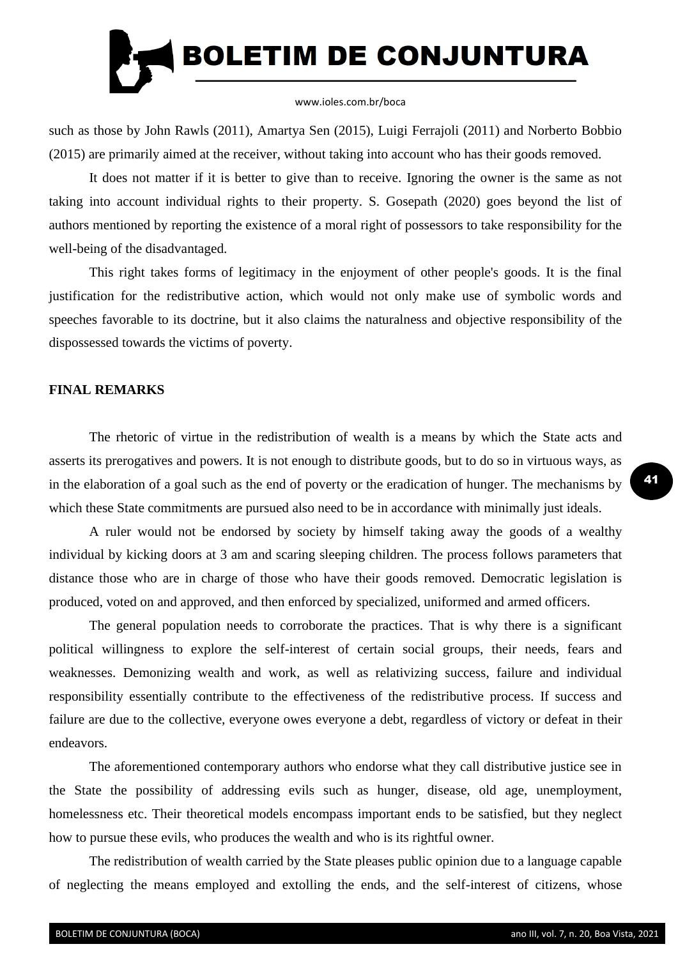

such as those by John Rawls (2011), Amartya Sen (2015), Luigi Ferrajoli (2011) and Norberto Bobbio (2015) are primarily aimed at the receiver, without taking into account who has their goods removed.

It does not matter if it is better to give than to receive. Ignoring the owner is the same as not taking into account individual rights to their property. S. Gosepath (2020) goes beyond the list of authors mentioned by reporting the existence of a moral right of possessors to take responsibility for the well-being of the disadvantaged.

This right takes forms of legitimacy in the enjoyment of other people's goods. It is the final justification for the redistributive action, which would not only make use of symbolic words and speeches favorable to its doctrine, but it also claims the naturalness and objective responsibility of the dispossessed towards the victims of poverty.

## **FINAL REMARKS**

The rhetoric of virtue in the redistribution of wealth is a means by which the State acts and asserts its prerogatives and powers. It is not enough to distribute goods, but to do so in virtuous ways, as in the elaboration of a goal such as the end of poverty or the eradication of hunger. The mechanisms by which these State commitments are pursued also need to be in accordance with minimally just ideals.

A ruler would not be endorsed by society by himself taking away the goods of a wealthy individual by kicking doors at 3 am and scaring sleeping children. The process follows parameters that distance those who are in charge of those who have their goods removed. Democratic legislation is produced, voted on and approved, and then enforced by specialized, uniformed and armed officers.

The general population needs to corroborate the practices. That is why there is a significant political willingness to explore the self-interest of certain social groups, their needs, fears and weaknesses. Demonizing wealth and work, as well as relativizing success, failure and individual responsibility essentially contribute to the effectiveness of the redistributive process. If success and failure are due to the collective, everyone owes everyone a debt, regardless of victory or defeat in their endeavors.

The aforementioned contemporary authors who endorse what they call distributive justice see in the State the possibility of addressing evils such as hunger, disease, old age, unemployment, homelessness etc. Their theoretical models encompass important ends to be satisfied, but they neglect how to pursue these evils, who produces the wealth and who is its rightful owner.

The redistribution of wealth carried by the State pleases public opinion due to a language capable of neglecting the means employed and extolling the ends, and the self-interest of citizens, whose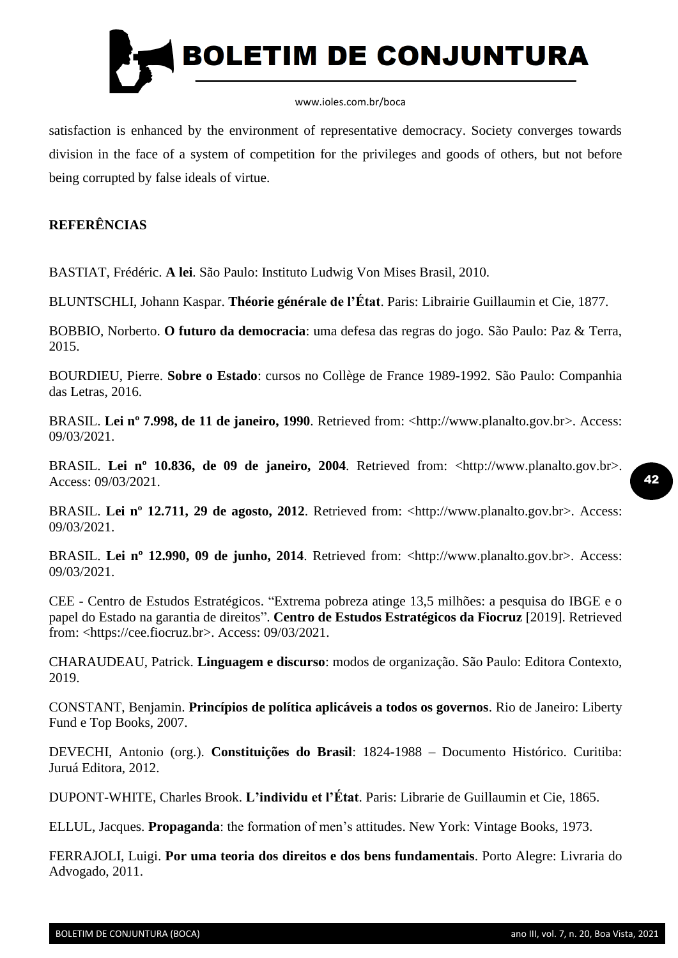

satisfaction is enhanced by the environment of representative democracy. Society converges towards division in the face of a system of competition for the privileges and goods of others, but not before being corrupted by false ideals of virtue.

## **REFERÊNCIAS**

BASTIAT, Frédéric. **A lei**. São Paulo: Instituto Ludwig Von Mises Brasil, 2010.

BLUNTSCHLI, Johann Kaspar. **Théorie générale de l'État**. Paris: Librairie Guillaumin et Cie, 1877.

BOBBIO, Norberto. **O futuro da democracia**: uma defesa das regras do jogo. São Paulo: Paz & Terra, 2015.

BOURDIEU, Pierre. **Sobre o Estado**: cursos no Collège de France 1989-1992. São Paulo: Companhia das Letras, 2016.

BRASIL. **Lei nº 7.998, de 11 de janeiro, 1990**. Retrieved from: <http://www.planalto.gov.br>. Access: 09/03/2021.

BRASIL. **Lei nº 10.836, de 09 de janeiro, 2004**. Retrieved from: <http://www.planalto.gov.br>. Access: 09/03/2021.

BRASIL. **Lei nº 12.711, 29 de agosto, 2012**. Retrieved from: <http://www.planalto.gov.br>. Access: 09/03/2021.

BRASIL. **Lei nº 12.990, 09 de junho, 2014**. Retrieved from: <http://www.planalto.gov.br>. Access: 09/03/2021.

CEE - Centro de Estudos Estratégicos. "Extrema pobreza atinge 13,5 milhões: a pesquisa do IBGE e o papel do Estado na garantia de direitos". **Centro de Estudos Estratégicos da Fiocruz** [2019]. Retrieved from: <https://cee.fiocruz.br>. Access: 09/03/2021.

CHARAUDEAU, Patrick. **Linguagem e discurso**: modos de organização. São Paulo: Editora Contexto, 2019.

CONSTANT, Benjamin. **Princípios de política aplicáveis a todos os governos**. Rio de Janeiro: Liberty Fund e Top Books, 2007.

DEVECHI, Antonio (org.). **Constituições do Brasil**: 1824-1988 – Documento Histórico. Curitiba: Juruá Editora, 2012.

DUPONT-WHITE, Charles Brook. **L'individu et l'État**. Paris: Librarie de Guillaumin et Cie, 1865.

ELLUL, Jacques. **Propaganda**: the formation of men's attitudes. New York: Vintage Books, 1973.

FERRAJOLI, Luigi. **Por uma teoria dos direitos e dos bens fundamentais**. Porto Alegre: Livraria do Advogado, 2011.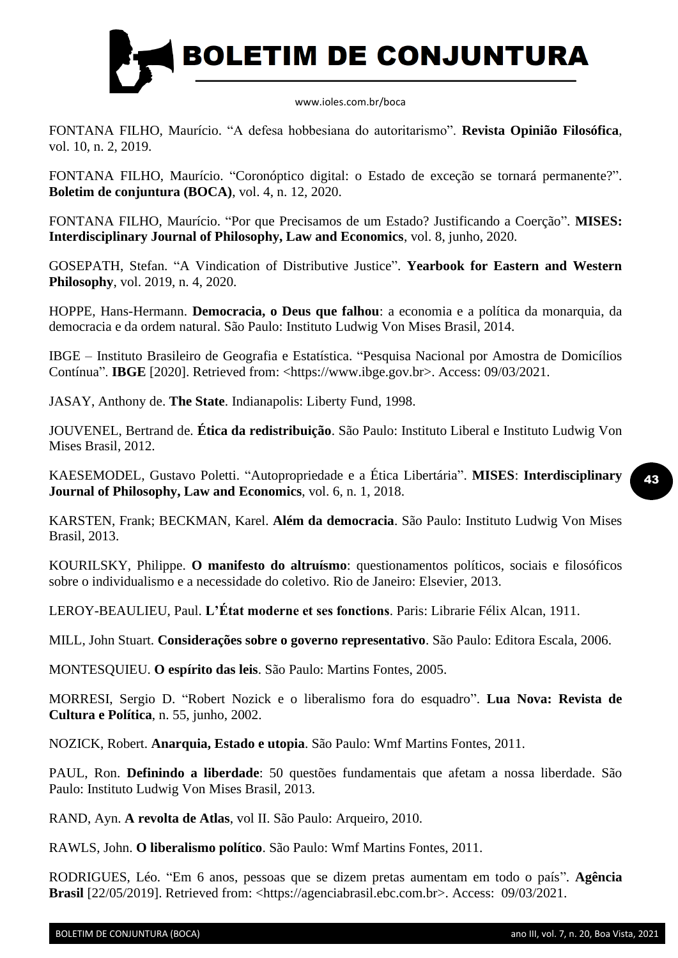

FONTANA FILHO, Maurício. "A defesa hobbesiana do autoritarismo". **Revista Opinião Filosófica**, vol. 10, n. 2, 2019.

FONTANA FILHO, Maurício. "Coronóptico digital: o Estado de exceção se tornará permanente?". **Boletim de conjuntura (BOCA)**, vol. 4, n. 12, 2020.

FONTANA FILHO, Maurício. "Por que Precisamos de um Estado? Justificando a Coerção". **MISES: Interdisciplinary Journal of Philosophy, Law and Economics**, vol. 8, junho, 2020.

GOSEPATH, Stefan. "A Vindication of Distributive Justice". **Yearbook for Eastern and Western Philosophy**, vol. 2019, n. 4, 2020.

HOPPE, Hans-Hermann. **Democracia, o Deus que falhou**: a economia e a política da monarquia, da democracia e da ordem natural. São Paulo: Instituto Ludwig Von Mises Brasil, 2014.

IBGE – Instituto Brasileiro de Geografia e Estatística. "Pesquisa Nacional por Amostra de Domicílios Contínua". **IBGE** [2020]. Retrieved from: <https://www.ibge.gov.br>. Access: 09/03/2021.

JASAY, Anthony de. **The State**. Indianapolis: Liberty Fund, 1998.

JOUVENEL, Bertrand de. **Ética da redistribuição**. São Paulo: Instituto Liberal e Instituto Ludwig Von Mises Brasil, 2012.

KAESEMODEL, Gustavo Poletti. "Autopropriedade e a Ética Libertária". **MISES**: **Interdisciplinary Journal of Philosophy, Law and Economics**, vol. 6, n. 1, 2018.

KARSTEN, Frank; BECKMAN, Karel. **Além da democracia**. São Paulo: Instituto Ludwig Von Mises Brasil, 2013.

KOURILSKY, Philippe. **O manifesto do altruísmo**: questionamentos políticos, sociais e filosóficos sobre o individualismo e a necessidade do coletivo. Rio de Janeiro: Elsevier, 2013.

LEROY-BEAULIEU, Paul. **L'État moderne et ses fonctions**. Paris: Librarie Félix Alcan, 1911.

MILL, John Stuart. **Considerações sobre o governo representativo**. São Paulo: Editora Escala, 2006.

MONTESQUIEU. **O espírito das leis**. São Paulo: Martins Fontes, 2005.

MORRESI, Sergio D. "Robert Nozick e o liberalismo fora do esquadro". **Lua Nova: Revista de Cultura e Política**, n. 55, junho, 2002.

NOZICK, Robert. **Anarquia, Estado e utopia**. São Paulo: Wmf Martins Fontes, 2011.

PAUL, Ron. **Definindo a liberdade**: 50 questões fundamentais que afetam a nossa liberdade. São Paulo: Instituto Ludwig Von Mises Brasil, 2013.

RAND, Ayn. **A revolta de Atlas**, vol II. São Paulo: Arqueiro, 2010.

RAWLS, John. **O liberalismo político**. São Paulo: Wmf Martins Fontes, 2011.

RODRIGUES, Léo. "Em 6 anos, pessoas que se dizem pretas aumentam em todo o país". **Agência Brasil** [22/05/2019]. Retrieved from: <https://agenciabrasil.ebc.com.br>. Access: 09/03/2021.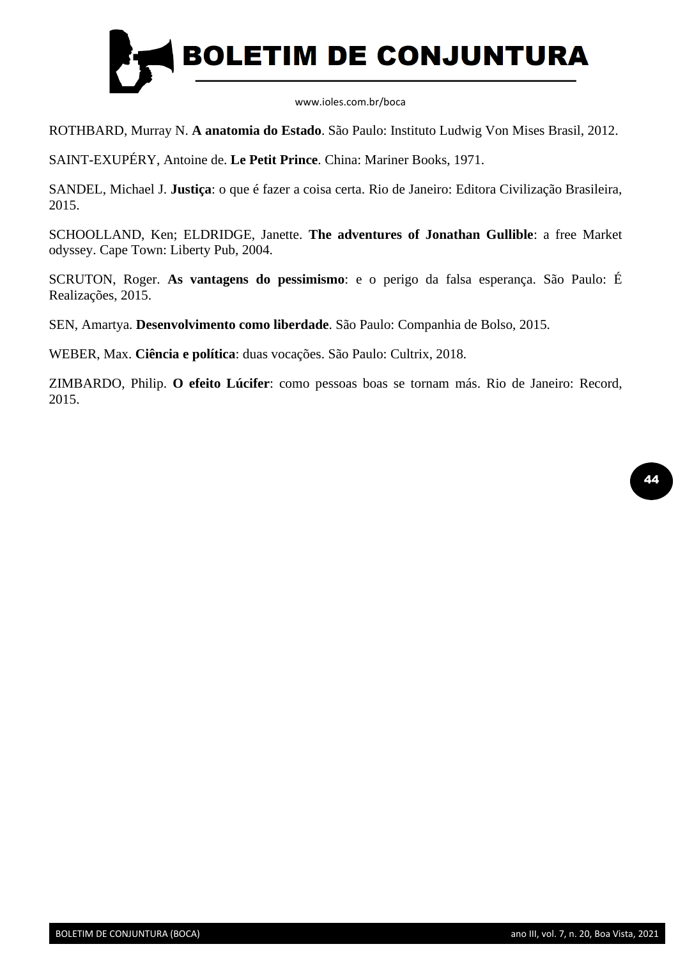

ROTHBARD, Murray N. **A anatomia do Estado**. São Paulo: Instituto Ludwig Von Mises Brasil, 2012.

SAINT-EXUPÉRY, Antoine de. **Le Petit Prince**. China: Mariner Books, 1971.

SANDEL, Michael J. **Justiça**: o que é fazer a coisa certa. Rio de Janeiro: Editora Civilização Brasileira, 2015.

SCHOOLLAND, Ken; ELDRIDGE, Janette. **The adventures of Jonathan Gullible**: a free Market odyssey. Cape Town: Liberty Pub, 2004.

SCRUTON, Roger. **As vantagens do pessimismo**: e o perigo da falsa esperança. São Paulo: É Realizações, 2015.

SEN, Amartya. **Desenvolvimento como liberdade**. São Paulo: Companhia de Bolso, 2015.

WEBER, Max. **Ciência e política**: duas vocações. São Paulo: Cultrix, 2018.

ZIMBARDO, Philip. **O efeito Lúcifer**: como pessoas boas se tornam más. Rio de Janeiro: Record, 2015.